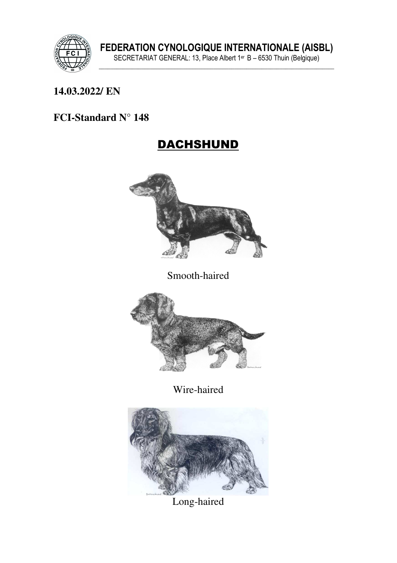

## **14.03.2022/ EN**

## **FCI-Standard N° 148**

# DACHSHUND



Smooth-haired



Wire-haired



Long-haired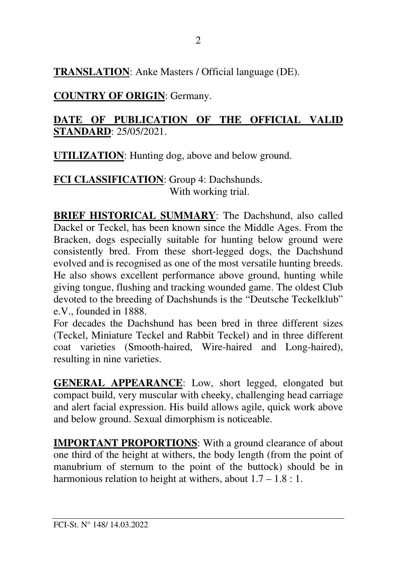**TRANSLATION**: Anke Masters / Official language (DE).

## **COUNTRY OF ORIGIN**: Germany.

### **DATE OF PUBLICATION OF THE OFFICIAL VALID STANDARD**: 25/05/2021.

**UTILIZATION**: Hunting dog, above and below ground.

**FCI CLASSIFICATION**: Group 4: Dachshunds. With working trial.

**BRIEF HISTORICAL SUMMARY**: The Dachshund, also called Dackel or Teckel, has been known since the Middle Ages. From the Bracken, dogs especially suitable for hunting below ground were consistently bred. From these short-legged dogs, the Dachshund evolved and is recognised as one of the most versatile hunting breeds. He also shows excellent performance above ground, hunting while giving tongue, flushing and tracking wounded game. The oldest Club devoted to the breeding of Dachshunds is the "Deutsche Teckelklub" e.V., founded in 1888.

For decades the Dachshund has been bred in three different sizes (Teckel, Miniature Teckel and Rabbit Teckel) and in three different coat varieties (Smooth-haired, Wire-haired and Long-haired), resulting in nine varieties.

**GENERAL APPEARANCE**: Low, short legged, elongated but compact build, very muscular with cheeky, challenging head carriage and alert facial expression. His build allows agile, quick work above and below ground. Sexual dimorphism is noticeable.

**IMPORTANT PROPORTIONS:** With a ground clearance of about one third of the height at withers, the body length (from the point of manubrium of sternum to the point of the buttock) should be in harmonious relation to height at withers, about  $1.7 - 1.8 : 1$ .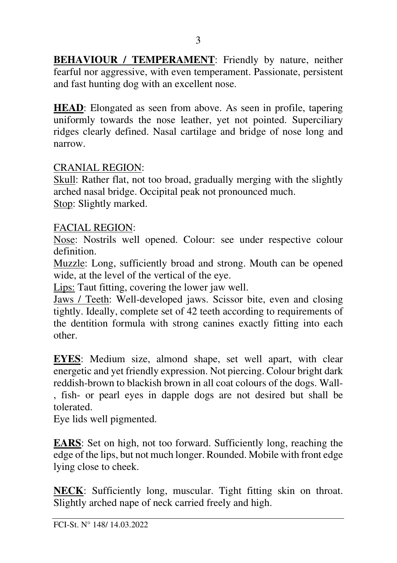**BEHAVIOUR / TEMPERAMENT:** Friendly by nature, neither fearful nor aggressive, with even temperament. Passionate, persistent and fast hunting dog with an excellent nose.

**HEAD**: Elongated as seen from above. As seen in profile, tapering uniformly towards the nose leather, yet not pointed. Superciliary ridges clearly defined. Nasal cartilage and bridge of nose long and narrow.

#### CRANIAL REGION:

Skull: Rather flat, not too broad, gradually merging with the slightly arched nasal bridge. Occipital peak not pronounced much. Stop: Slightly marked.

#### FACIAL REGION:

Nose: Nostrils well opened. Colour: see under respective colour definition.

Muzzle: Long, sufficiently broad and strong. Mouth can be opened wide, at the level of the vertical of the eye.

Lips: Taut fitting, covering the lower jaw well.

Jaws / Teeth: Well-developed jaws. Scissor bite, even and closing tightly. Ideally, complete set of 42 teeth according to requirements of the dentition formula with strong canines exactly fitting into each other.

**EYES**: Medium size, almond shape, set well apart, with clear energetic and yet friendly expression. Not piercing. Colour bright dark reddish-brown to blackish brown in all coat colours of the dogs. Wall- , fish- or pearl eyes in dapple dogs are not desired but shall be tolerated.

Eye lids well pigmented.

**EARS**: Set on high, not too forward. Sufficiently long, reaching the edge of the lips, but not much longer. Rounded. Mobile with front edge lying close to cheek.

**NECK**: Sufficiently long, muscular. Tight fitting skin on throat. Slightly arched nape of neck carried freely and high.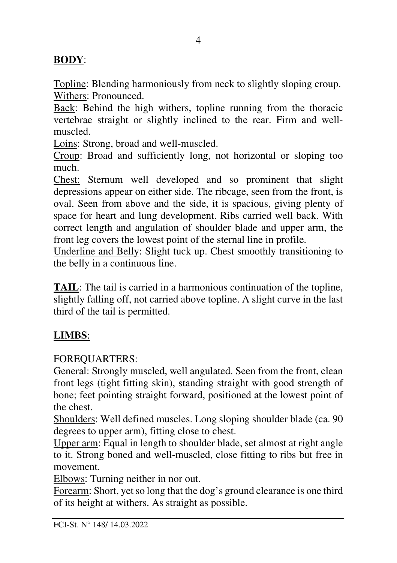## **BODY**:

Topline: Blending harmoniously from neck to slightly sloping croup. Withers: Pronounced.

Back: Behind the high withers, topline running from the thoracic vertebrae straight or slightly inclined to the rear. Firm and wellmuscled.

Loins: Strong, broad and well-muscled.

Croup: Broad and sufficiently long, not horizontal or sloping too much.

Chest: Sternum well developed and so prominent that slight depressions appear on either side. The ribcage, seen from the front, is oval. Seen from above and the side, it is spacious, giving plenty of space for heart and lung development. Ribs carried well back. With correct length and angulation of shoulder blade and upper arm, the front leg covers the lowest point of the sternal line in profile.

Underline and Belly: Slight tuck up. Chest smoothly transitioning to the belly in a continuous line.

**TAIL**: The tail is carried in a harmonious continuation of the topline, slightly falling off, not carried above topline. A slight curve in the last third of the tail is permitted.

### **LIMBS**:

#### FOREQUARTERS:

General: Strongly muscled, well angulated. Seen from the front, clean front legs (tight fitting skin), standing straight with good strength of bone; feet pointing straight forward, positioned at the lowest point of the chest.

Shoulders: Well defined muscles. Long sloping shoulder blade (ca. 90 degrees to upper arm), fitting close to chest.

Upper arm: Equal in length to shoulder blade, set almost at right angle to it. Strong boned and well-muscled, close fitting to ribs but free in movement.

Elbows: Turning neither in nor out.

Forearm: Short, yet so long that the dog's ground clearance is one third of its height at withers. As straight as possible.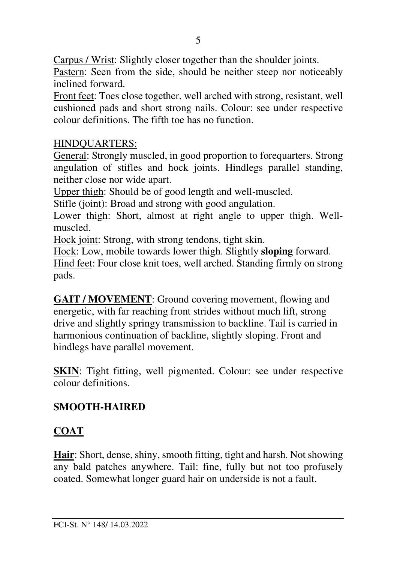Carpus / Wrist: Slightly closer together than the shoulder joints.

Pastern: Seen from the side, should be neither steep nor noticeably inclined forward.

Front feet: Toes close together, well arched with strong, resistant, well cushioned pads and short strong nails. Colour: see under respective colour definitions. The fifth toe has no function.

### HINDQUARTERS:

General: Strongly muscled, in good proportion to forequarters. Strong angulation of stifles and hock joints. Hindlegs parallel standing, neither close nor wide apart.

Upper thigh: Should be of good length and well-muscled.

Stifle (joint): Broad and strong with good angulation.

Lower thigh: Short, almost at right angle to upper thigh. Wellmuscled.

Hock joint: Strong, with strong tendons, tight skin.

Hock: Low, mobile towards lower thigh. Slightly **sloping** forward. Hind feet: Four close knit toes, well arched. Standing firmly on strong pads.

**GAIT / MOVEMENT**: Ground covering movement, flowing and energetic, with far reaching front strides without much lift, strong drive and slightly springy transmission to backline. Tail is carried in harmonious continuation of backline, slightly sloping. Front and hindlegs have parallel movement.

**SKIN**: Tight fitting, well pigmented. Colour: see under respective colour definitions.

## **SMOOTH-HAIRED**

## **COAT**

**Hair**: Short, dense, shiny, smooth fitting, tight and harsh. Not showing any bald patches anywhere. Tail: fine, fully but not too profusely coated. Somewhat longer guard hair on underside is not a fault.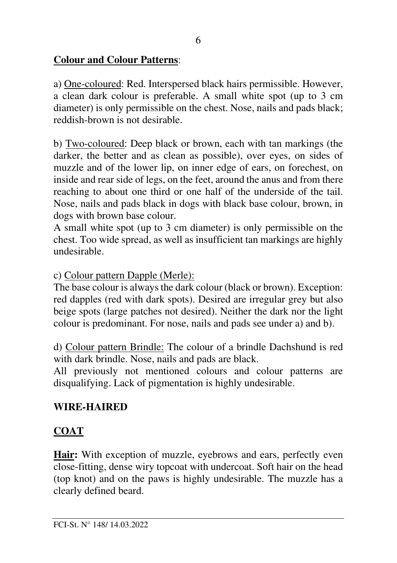## **Colour and Colour Patterns**:

a) One-coloured: Red. Interspersed black hairs permissible. However, a clean dark colour is preferable. A small white spot (up to 3 cm diameter) is only permissible on the chest. Nose, nails and pads black; reddish-brown is not desirable.

b) Two-coloured: Deep black or brown, each with tan markings (the darker, the better and as clean as possible), over eyes, on sides of muzzle and of the lower lip, on inner edge of ears, on forechest, on inside and rear side of legs, on the feet, around the anus and from there reaching to about one third or one half of the underside of the tail. Nose, nails and pads black in dogs with black base colour, brown, in dogs with brown base colour.

A small white spot (up to 3 cm diameter) is only permissible on the chest. Too wide spread, as well as insufficient tan markings are highly undesirable.

### c) Colour pattern Dapple (Merle):

The base colour is always the dark colour (black or brown). Exception: red dapples (red with dark spots). Desired are irregular grey but also beige spots (large patches not desired). Neither the dark nor the light colour is predominant. For nose, nails and pads see under a) and b).

d) Colour pattern Brindle: The colour of a brindle Dachshund is red with dark brindle. Nose, nails and pads are black.

All previously not mentioned colours and colour patterns are disqualifying. Lack of pigmentation is highly undesirable.

### **WIRE-HAIRED**

## **COAT**

**Hair:** With exception of muzzle, eyebrows and ears, perfectly even close-fitting, dense wiry topcoat with undercoat. Soft hair on the head (top knot) and on the paws is highly undesirable. The muzzle has a clearly defined beard.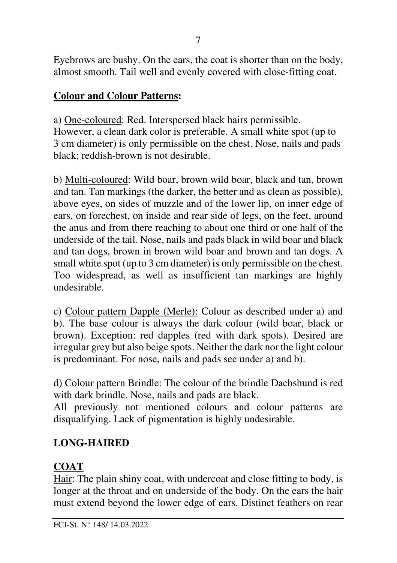Eyebrows are bushy. On the ears, the coat is shorter than on the body, almost smooth. Tail well and evenly covered with close-fitting coat.

#### **Colour and Colour Patterns:**

a) One-coloured: Red. Interspersed black hairs permissible. However, a clean dark color is preferable. A small white spot (up to 3 cm diameter) is only permissible on the chest. Nose, nails and pads black; reddish-brown is not desirable.

b) Multi-coloured: Wild boar, brown wild boar, black and tan, brown and tan. Tan markings (the darker, the better and as clean as possible), above eyes, on sides of muzzle and of the lower lip, on inner edge of ears, on forechest, on inside and rear side of legs, on the feet, around the anus and from there reaching to about one third or one half of the underside of the tail. Nose, nails and pads black in wild boar and black and tan dogs, brown in brown wild boar and brown and tan dogs. A small white spot (up to 3 cm diameter) is only permissible on the chest. Too widespread, as well as insufficient tan markings are highly undesirable.

c) Colour pattern Dapple (Merle): Colour as described under a) and b). The base colour is always the dark colour (wild boar, black or brown). Exception: red dapples (red with dark spots). Desired are irregular grey but also beige spots. Neither the dark nor the light colour is predominant. For nose, nails and pads see under a) and b).

d) Colour pattern Brindle: The colour of the brindle Dachshund is red with dark brindle. Nose, nails and pads are black.

All previously not mentioned colours and colour patterns are disqualifying. Lack of pigmentation is highly undesirable.

## **LONG-HAIRED**

### **COAT**

Hair: The plain shiny coat, with undercoat and close fitting to body, is longer at the throat and on underside of the body. On the ears the hair must extend beyond the lower edge of ears. Distinct feathers on rear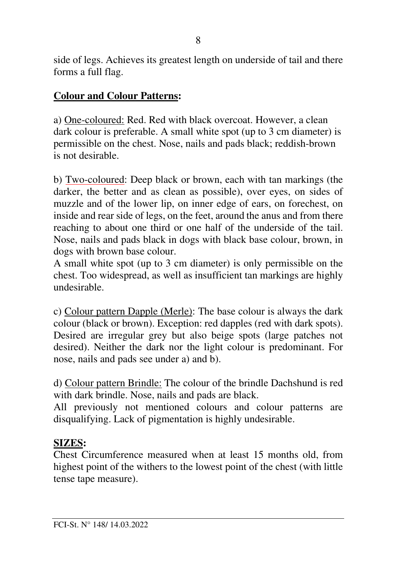side of legs. Achieves its greatest length on underside of tail and there forms a full flag.

#### **Colour and Colour Patterns:**

a) One-coloured: Red. Red with black overcoat. However, a clean dark colour is preferable. A small white spot (up to 3 cm diameter) is permissible on the chest. Nose, nails and pads black; reddish-brown is not desirable.

b) Two-coloured: Deep black or brown, each with tan markings (the darker, the better and as clean as possible), over eyes, on sides of muzzle and of the lower lip, on inner edge of ears, on forechest, on inside and rear side of legs, on the feet, around the anus and from there reaching to about one third or one half of the underside of the tail. Nose, nails and pads black in dogs with black base colour, brown, in dogs with brown base colour.

A small white spot (up to 3 cm diameter) is only permissible on the chest. Too widespread, as well as insufficient tan markings are highly undesirable.

c) Colour pattern Dapple (Merle): The base colour is always the dark colour (black or brown). Exception: red dapples (red with dark spots). Desired are irregular grey but also beige spots (large patches not desired). Neither the dark nor the light colour is predominant. For nose, nails and pads see under a) and b).

d) Colour pattern Brindle: The colour of the brindle Dachshund is red with dark brindle. Nose, nails and pads are black.

All previously not mentioned colours and colour patterns are disqualifying. Lack of pigmentation is highly undesirable.

#### **SIZES:**

Chest Circumference measured when at least 15 months old, from highest point of the withers to the lowest point of the chest (with little tense tape measure).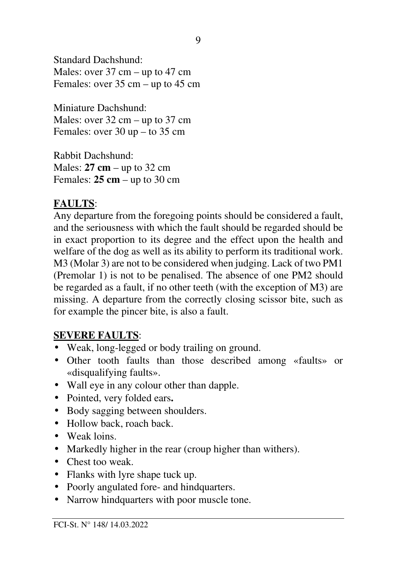Standard Dachshund: Males: over 37 cm – up to 47 cm Females: over 35 cm – up to 45 cm

Miniature Dachshund: Males: over 32 cm – up to 37 cm Females: over 30 up – to 35 cm

Rabbit Dachshund: Males: **27 cm** – up to 32 cm Females: **25 cm** – up to 30 cm

### **FAULTS**:

Any departure from the foregoing points should be considered a fault, and the seriousness with which the fault should be regarded should be in exact proportion to its degree and the effect upon the health and welfare of the dog as well as its ability to perform its traditional work. M3 (Molar 3) are not to be considered when judging. Lack of two PM1 (Premolar 1) is not to be penalised. The absence of one PM2 should be regarded as a fault, if no other teeth (with the exception of M3) are missing. A departure from the correctly closing scissor bite, such as for example the pincer bite, is also a fault.

### **SEVERE FAULTS**:

- Weak, long-legged or body trailing on ground.
- Other tooth faults than those described among «faults» or «disqualifying faults».
- Wall eye in any colour other than dapple.
- Pointed, very folded ears**.**
- Body sagging between shoulders.
- Hollow back, roach back.
- Weak loins.
- Markedly higher in the rear (croup higher than withers).
- Chest too weak.
- Flanks with lyre shape tuck up.
- Poorly angulated fore- and hindquarters.
- Narrow hindquarters with poor muscle tone.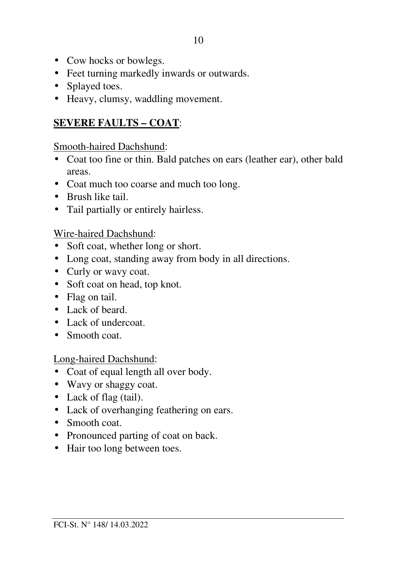- Cow hocks or bowlegs.
- Feet turning markedly inwards or outwards.
- Splayed toes.
- Heavy, clumsy, waddling movement.

### **SEVERE FAULTS – COAT**:

Smooth-haired Dachshund:

- Coat too fine or thin. Bald patches on ears (leather ear), other bald areas.
- Coat much too coarse and much too long.
- Brush like tail.
- Tail partially or entirely hairless.

#### Wire-haired Dachshund:

- Soft coat, whether long or short.
- Long coat, standing away from body in all directions.
- Curly or wavy coat.
- Soft coat on head, top knot.
- Flag on tail.
- Lack of beard.
- Lack of undercoat.
- Smooth coat.

#### Long-haired Dachshund:

- Coat of equal length all over body.
- Wavy or shaggy coat.
- Lack of flag (tail).
- Lack of overhanging feathering on ears.
- Smooth coat.
- Pronounced parting of coat on back.
- Hair too long between toes.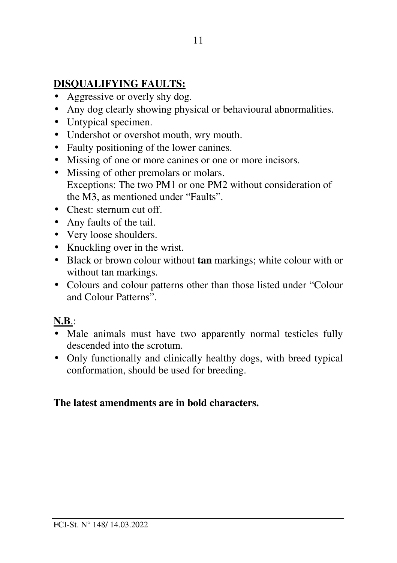## **DISQUALIFYING FAULTS:**

- Aggressive or overly shy dog.
- Any dog clearly showing physical or behavioural abnormalities.
- Untypical specimen.
- Undershot or overshot mouth, wry mouth.
- Faulty positioning of the lower canines.
- Missing of one or more canines or one or more incisors.
- Missing of other premolars or molars. Exceptions: The two PM1 or one PM2 without consideration of the M3, as mentioned under "Faults".
- Chest: sternum cut off
- Any faults of the tail.
- Very loose shoulders.
- Knuckling over in the wrist.
- Black or brown colour without **tan** markings; white colour with or without tan markings.
- Colours and colour patterns other than those listed under "Colour and Colour Patterns".

### **N.B**.:

- Male animals must have two apparently normal testicles fully descended into the scrotum.
- Only functionally and clinically healthy dogs, with breed typical conformation, should be used for breeding.

#### **The latest amendments are in bold characters.**